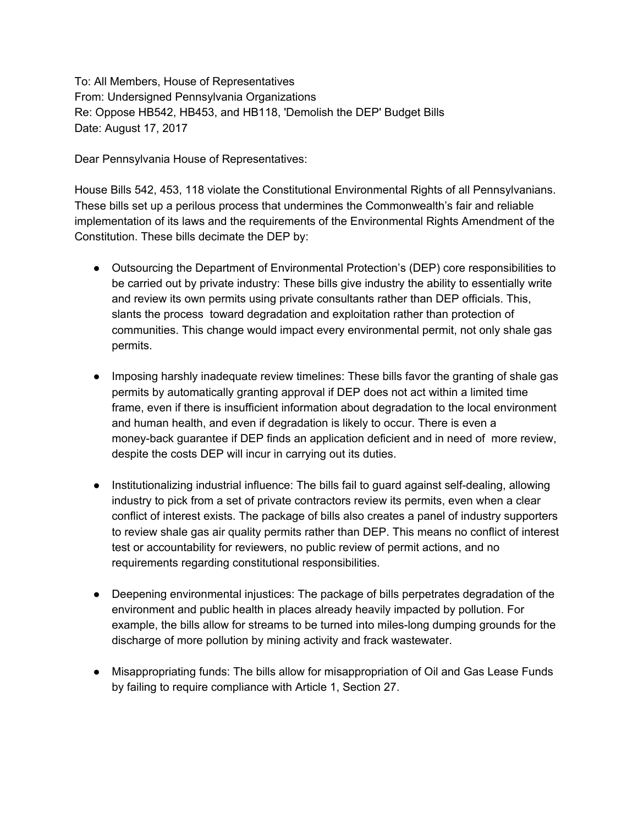To: All Members, House of Representatives From: Undersigned Pennsylvania Organizations Re: Oppose HB542, HB453, and HB118, 'Demolish the DEP' Budget Bills Date: August 17, 2017

Dear Pennsylvania House of Representatives:

House Bills 542, 453, 118 violate the Constitutional Environmental Rights of all Pennsylvanians. These bills set up a perilous process that undermines the Commonwealth's fair and reliable implementation of its laws and the requirements of the Environmental Rights Amendment of the Constitution. These bills decimate the DEP by:

- Outsourcing the Department of Environmental Protection's (DEP) core responsibilities to be carried out by private industry: These bills give industry the ability to essentially write and review its own permits using private consultants rather than DEP officials. This, slants the process toward degradation and exploitation rather than protection of communities. This change would impact every environmental permit, not only shale gas permits.
- Imposing harshly inadequate review timelines: These bills favor the granting of shale gas permits by automatically granting approval if DEP does not act within a limited time frame, even if there is insufficient information about degradation to the local environment and human health, and even if degradation is likely to occur. There is even a money-back guarantee if DEP finds an application deficient and in need of more review, despite the costs DEP will incur in carrying out its duties.
- Institutionalizing industrial influence: The bills fail to guard against self-dealing, allowing industry to pick from a set of private contractors review its permits, even when a clear conflict of interest exists. The package of bills also creates a panel of industry supporters to review shale gas air quality permits rather than DEP. This means no conflict of interest test or accountability for reviewers, no public review of permit actions, and no requirements regarding constitutional responsibilities.
- Deepening environmental injustices: The package of bills perpetrates degradation of the environment and public health in places already heavily impacted by pollution. For example, the bills allow for streams to be turned into miles-long dumping grounds for the discharge of more pollution by mining activity and frack wastewater.
- Misappropriating funds: The bills allow for misappropriation of Oil and Gas Lease Funds by failing to require compliance with Article 1, Section 27.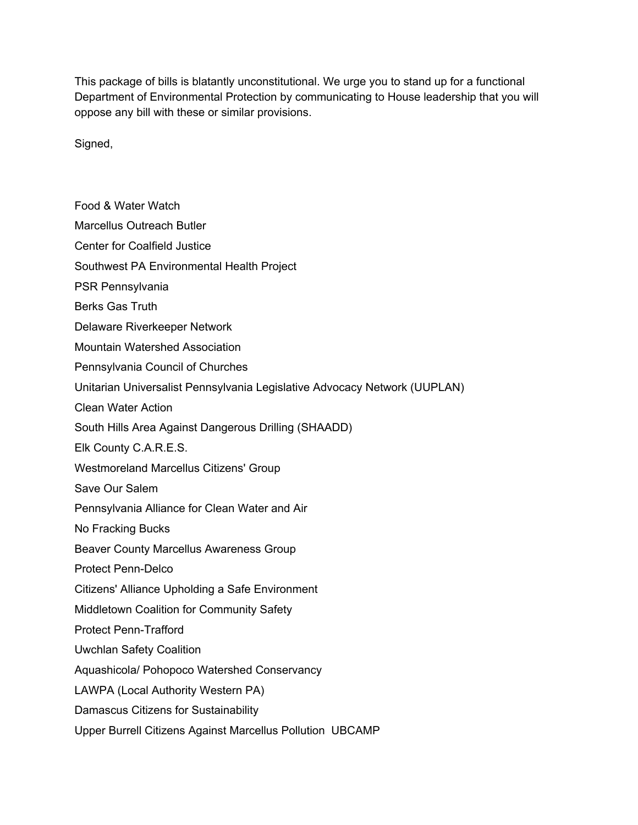This package of bills is blatantly unconstitutional. We urge you to stand up for a functional Department of Environmental Protection by communicating to House leadership that you will oppose any bill with these or similar provisions.

Signed,

Food & Water Watch Marcellus Outreach Butler Center for Coalfield Justice Southwest PA Environmental Health Project PSR Pennsylvania Berks Gas Truth Delaware Riverkeeper Network Mountain Watershed Association Pennsylvania Council of Churches Unitarian Universalist Pennsylvania Legislative Advocacy Network (UUPLAN) Clean Water Action South Hills Area Against Dangerous Drilling (SHAADD) Elk County C.A.R.E.S. Westmoreland Marcellus Citizens' Group Save Our Salem Pennsylvania Alliance for Clean Water and Air No Fracking Bucks Beaver County Marcellus Awareness Group Protect Penn-Delco Citizens' Alliance Upholding a Safe Environment Middletown Coalition for Community Safety Protect Penn-Trafford Uwchlan Safety Coalition Aquashicola/ Pohopoco Watershed Conservancy LAWPA (Local Authority Western PA) Damascus Citizens for Sustainability Upper Burrell Citizens Against Marcellus Pollution UBCAMP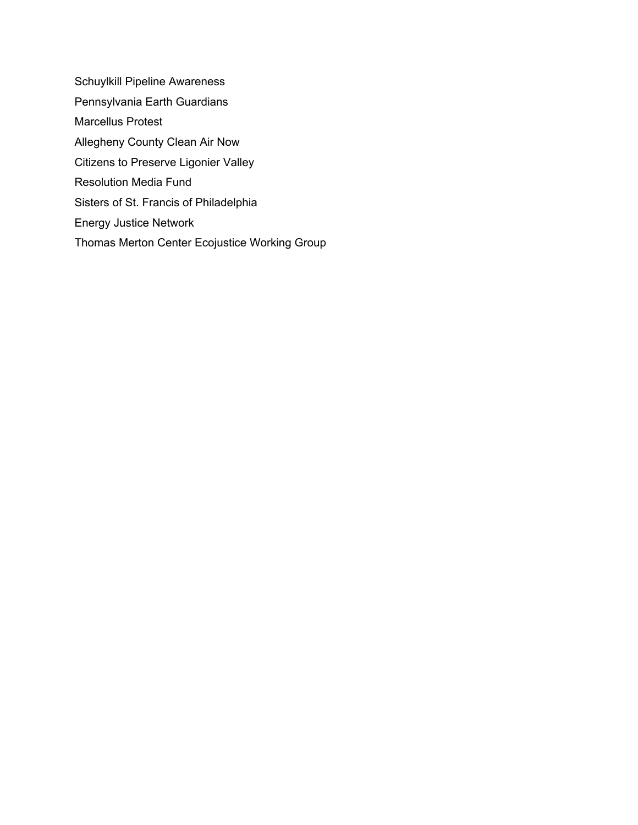Schuylkill Pipeline Awareness Pennsylvania Earth Guardians Marcellus Protest Allegheny County Clean Air Now Citizens to Preserve Ligonier Valley Resolution Media Fund Sisters of St. Francis of Philadelphia Energy Justice Network Thomas Merton Center Ecojustice Working Group